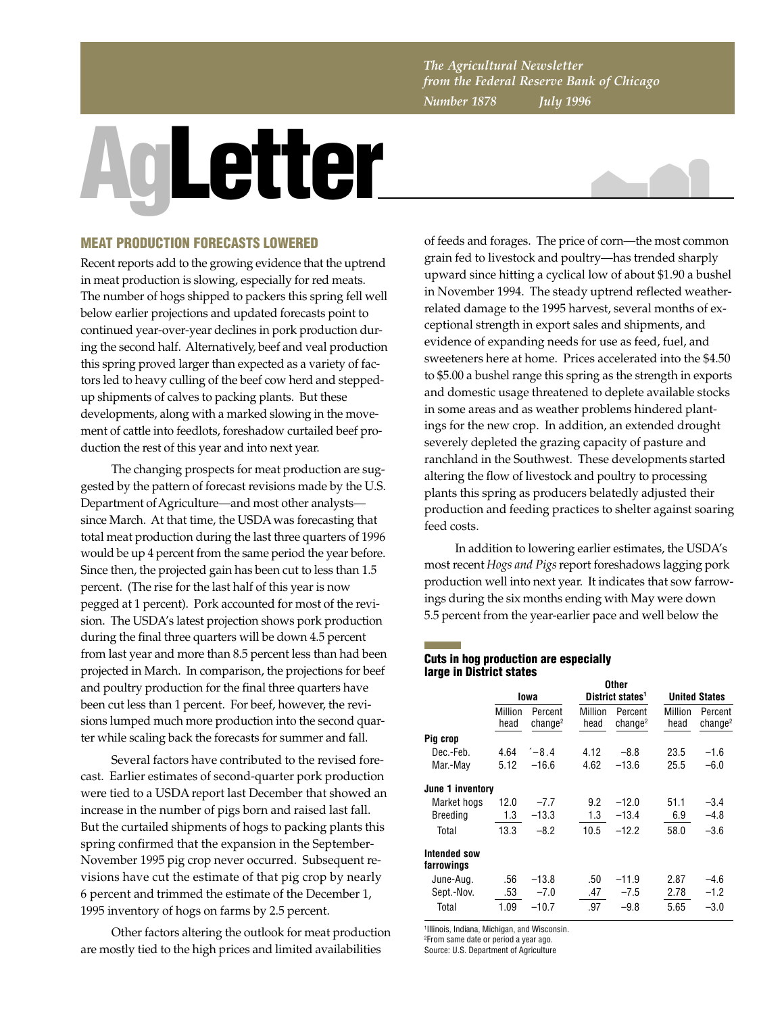*The Agricultural Newsletter from the Federal Reserve Bank of Chicago Number 1878 July 1996*

# **AgLetter**



## **MEAT PRODUCTION FORECASTS LOWERED**

Recent reports add to the growing evidence that the uptrend in meat production is slowing, especially for red meats. The number of hogs shipped to packers this spring fell well below earlier projections and updated forecasts point to continued year-over-year declines in pork production during the second half. Alternatively, beef and veal production this spring proved larger than expected as a variety of factors led to heavy culling of the beef cow herd and steppedup shipments of calves to packing plants. But these developments, along with a marked slowing in the movement of cattle into feedlots, foreshadow curtailed beef production the rest of this year and into next year.

The changing prospects for meat production are suggested by the pattern of forecast revisions made by the U.S. Department of Agriculture—and most other analysts since March. At that time, the USDA was forecasting that total meat production during the last three quarters of 1996 would be up 4 percent from the same period the year before. Since then, the projected gain has been cut to less than 1.5 percent. (The rise for the last half of this year is now pegged at 1 percent). Pork accounted for most of the revision. The USDA's latest projection shows pork production during the final three quarters will be down 4.5 percent from last year and more than 8.5 percent less than had been projected in March. In comparison, the projections for beef and poultry production for the final three quarters have been cut less than 1 percent. For beef, however, the revisions lumped much more production into the second quarter while scaling back the forecasts for summer and fall.

Several factors have contributed to the revised forecast. Earlier estimates of second-quarter pork production were tied to a USDA report last December that showed an increase in the number of pigs born and raised last fall. But the curtailed shipments of hogs to packing plants this spring confirmed that the expansion in the September-November 1995 pig crop never occurred. Subsequent revisions have cut the estimate of that pig crop by nearly 6 percent and trimmed the estimate of the December 1, 1995 inventory of hogs on farms by 2.5 percent.

Other factors altering the outlook for meat production are mostly tied to the high prices and limited availabilities

of feeds and forages. The price of corn—the most common grain fed to livestock and poultry—has trended sharply upward since hitting a cyclical low of about \$1.90 a bushel in November 1994. The steady uptrend reflected weatherrelated damage to the 1995 harvest, several months of exceptional strength in export sales and shipments, and evidence of expanding needs for use as feed, fuel, and sweeteners here at home. Prices accelerated into the \$4.50 to \$5.00 a bushel range this spring as the strength in exports and domestic usage threatened to deplete available stocks in some areas and as weather problems hindered plantings for the new crop. In addition, an extended drought severely depleted the grazing capacity of pasture and ranchland in the Southwest. These developments started altering the flow of livestock and poultry to processing plants this spring as producers belatedly adjusted their production and feeding practices to shelter against soaring feed costs.

In addition to lowering earlier estimates, the USDA's most recent *Hogs and Pigs* report foreshadows lagging pork production well into next year. It indicates that sow farrowings during the six months ending with May were down 5.5 percent from the year-earlier pace and well below the

### **Cuts in hog production are especially large in District states Other**

|                                   | vuci            |                                |                 |                                |                      |                                |  |
|-----------------------------------|-----------------|--------------------------------|-----------------|--------------------------------|----------------------|--------------------------------|--|
|                                   | Iowa            |                                |                 | District states <sup>1</sup>   | <b>United States</b> |                                |  |
|                                   | Million<br>head | Percent<br>change <sup>2</sup> | Million<br>head | Percent<br>change <sup>2</sup> | Million<br>head      | Percent<br>change <sup>2</sup> |  |
| Pig crop                          |                 |                                |                 |                                |                      |                                |  |
| Dec.-Feb.                         | 4.64            | $-8.4$                         | 4.12            | $-8.8$                         | 23.5                 | $-1.6$                         |  |
| Mar.-May                          | 5.12            | $-16.6$                        | 4.62            | $-13.6$                        | 25.5                 | $-6.0$                         |  |
| June 1 inventory                  |                 |                                |                 |                                |                      |                                |  |
| Market hogs                       | 12.0            | $-7.7$                         | 9.2             | $-12.0$                        | 51.1                 | $-3.4$                         |  |
| <b>Breeding</b>                   | 1.3             | $-13.3$                        | 1.3             | $-13.4$                        | 6.9                  | $-4.8$                         |  |
| Total                             | 13.3            | $-8.2$                         | 10.5            | $-12.2$                        | 58.0                 | $-3.6$                         |  |
| <b>Intended sow</b><br>farrowings |                 |                                |                 |                                |                      |                                |  |
| June-Aug.                         | .56             | $-13.8$                        | .50             | $-11.9$                        | 2.87                 | $-4.6$                         |  |
| Sept.-Nov.                        | .53             | $-7.0$                         | .47             | $-7.5$                         | 2.78                 | $-1.2$                         |  |
| Total                             | 1.09            | $-10.7$                        | .97             | $-9.8$                         | 5.65                 | $-3.0$                         |  |
|                                   |                 |                                |                 |                                |                      |                                |  |

1 Illinois, Indiana, Michigan, and Wisconsin.

2 From same date or period a year ago.

Source: U.S. Department of Agriculture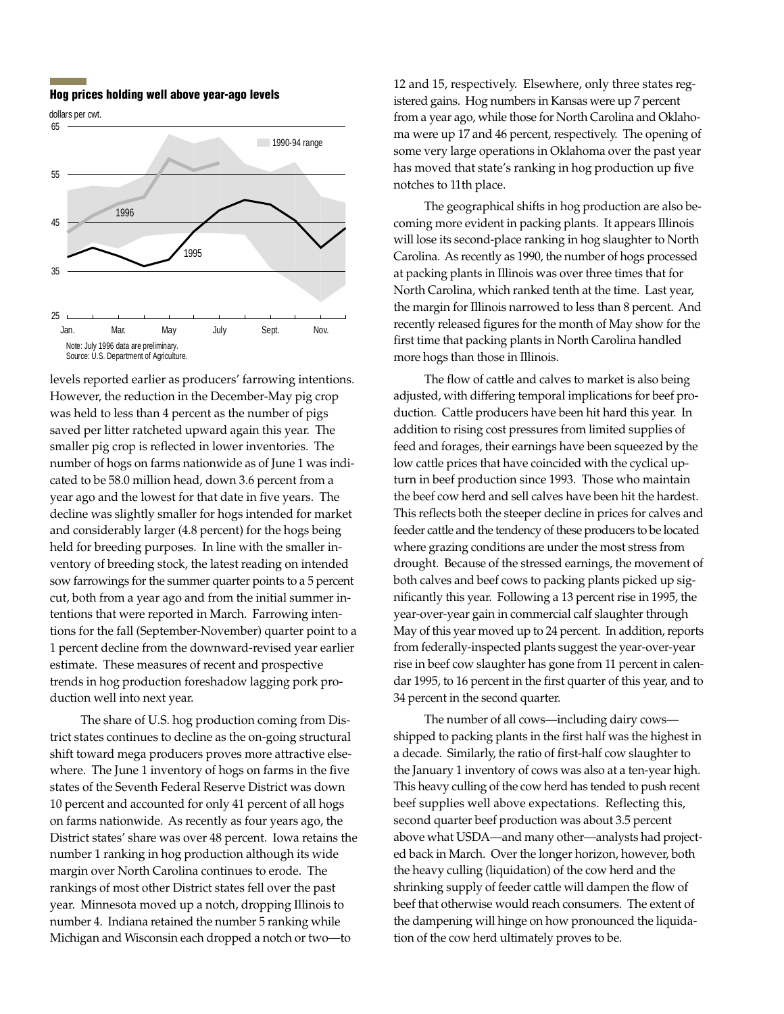**Hog prices holding well above year-ago levels**





levels reported earlier as producers' farrowing intentions. However, the reduction in the December-May pig crop was held to less than 4 percent as the number of pigs saved per litter ratcheted upward again this year. The smaller pig crop is reflected in lower inventories. The number of hogs on farms nationwide as of June 1 was indicated to be 58.0 million head, down 3.6 percent from a year ago and the lowest for that date in five years. The decline was slightly smaller for hogs intended for market and considerably larger (4.8 percent) for the hogs being held for breeding purposes. In line with the smaller inventory of breeding stock, the latest reading on intended sow farrowings for the summer quarter points to a 5 percent cut, both from a year ago and from the initial summer intentions that were reported in March. Farrowing intentions for the fall (September-November) quarter point to a 1 percent decline from the downward-revised year earlier estimate. These measures of recent and prospective trends in hog production foreshadow lagging pork production well into next year.

The share of U.S. hog production coming from District states continues to decline as the on-going structural shift toward mega producers proves more attractive elsewhere. The June 1 inventory of hogs on farms in the five states of the Seventh Federal Reserve District was down 10 percent and accounted for only 41 percent of all hogs on farms nationwide. As recently as four years ago, the District states' share was over 48 percent. Iowa retains the number 1 ranking in hog production although its wide margin over North Carolina continues to erode. The rankings of most other District states fell over the past year. Minnesota moved up a notch, dropping Illinois to number 4. Indiana retained the number 5 ranking while Michigan and Wisconsin each dropped a notch or two—to

12 and 15, respectively. Elsewhere, only three states registered gains. Hog numbers in Kansas were up 7 percent from a year ago, while those for North Carolina and Oklahoma were up 17 and 46 percent, respectively. The opening of some very large operations in Oklahoma over the past year has moved that state's ranking in hog production up five notches to 11th place.

The geographical shifts in hog production are also becoming more evident in packing plants. It appears Illinois will lose its second-place ranking in hog slaughter to North Carolina. As recently as 1990, the number of hogs processed at packing plants in Illinois was over three times that for North Carolina, which ranked tenth at the time. Last year, the margin for Illinois narrowed to less than 8 percent. And recently released figures for the month of May show for the first time that packing plants in North Carolina handled more hogs than those in Illinois.

The flow of cattle and calves to market is also being adjusted, with differing temporal implications for beef production. Cattle producers have been hit hard this year. In addition to rising cost pressures from limited supplies of feed and forages, their earnings have been squeezed by the low cattle prices that have coincided with the cyclical upturn in beef production since 1993. Those who maintain the beef cow herd and sell calves have been hit the hardest. This reflects both the steeper decline in prices for calves and feeder cattle and the tendency of these producers to be located where grazing conditions are under the most stress from drought. Because of the stressed earnings, the movement of both calves and beef cows to packing plants picked up significantly this year. Following a 13 percent rise in 1995, the year-over-year gain in commercial calf slaughter through May of this year moved up to 24 percent. In addition, reports from federally-inspected plants suggest the year-over-year rise in beef cow slaughter has gone from 11 percent in calendar 1995, to 16 percent in the first quarter of this year, and to 34 percent in the second quarter.

The number of all cows—including dairy cows shipped to packing plants in the first half was the highest in a decade. Similarly, the ratio of first-half cow slaughter to the January 1 inventory of cows was also at a ten-year high. This heavy culling of the cow herd has tended to push recent beef supplies well above expectations. Reflecting this, second quarter beef production was about 3.5 percent above what USDA—and many other—analysts had projected back in March. Over the longer horizon, however, both the heavy culling (liquidation) of the cow herd and the shrinking supply of feeder cattle will dampen the flow of beef that otherwise would reach consumers. The extent of the dampening will hinge on how pronounced the liquidation of the cow herd ultimately proves to be.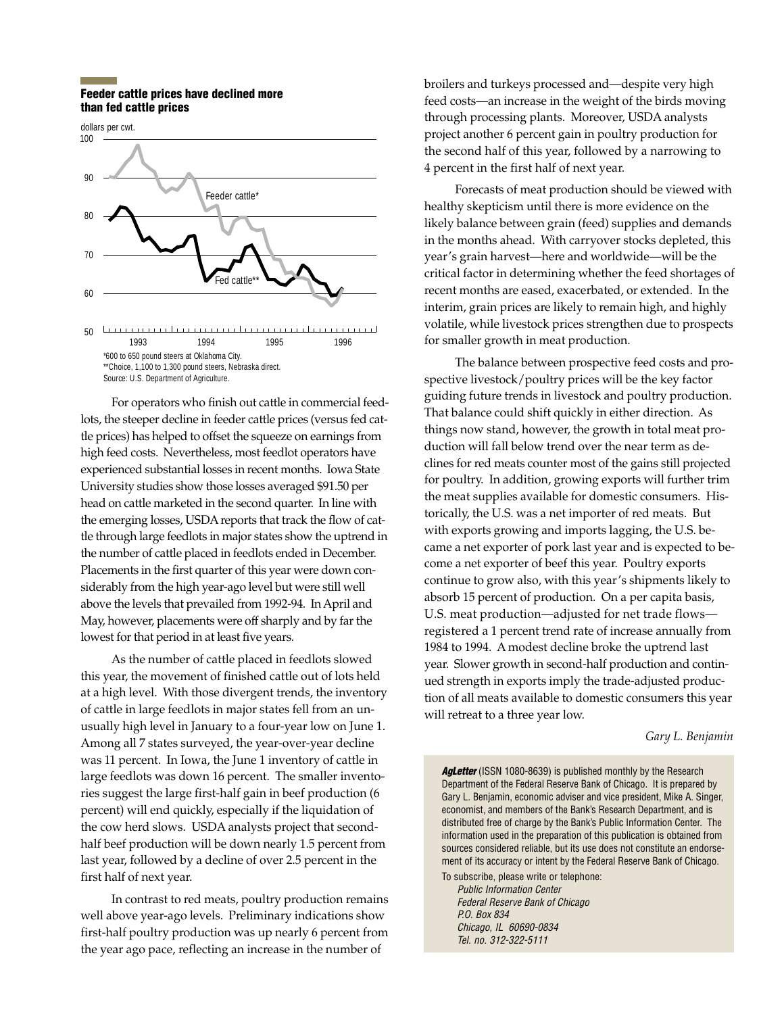### **Feeder cattle prices have declined more than fed cattle prices**



For operators who finish out cattle in commercial feedlots, the steeper decline in feeder cattle prices (versus fed cattle prices) has helped to offset the squeeze on earnings from high feed costs. Nevertheless, most feedlot operators have experienced substantial losses in recent months. Iowa State University studies show those losses averaged \$91.50 per head on cattle marketed in the second quarter. In line with the emerging losses, USDA reports that track the flow of cattle through large feedlots in major states show the uptrend in the number of cattle placed in feedlots ended in December. Placements in the first quarter of this year were down considerably from the high year-ago level but were still well above the levels that prevailed from 1992-94. In April and May, however, placements were off sharply and by far the lowest for that period in at least five years.

As the number of cattle placed in feedlots slowed this year, the movement of finished cattle out of lots held at a high level. With those divergent trends, the inventory of cattle in large feedlots in major states fell from an unusually high level in January to a four-year low on June 1. Among all 7 states surveyed, the year-over-year decline was 11 percent. In Iowa, the June 1 inventory of cattle in large feedlots was down 16 percent. The smaller inventories suggest the large first-half gain in beef production (6 percent) will end quickly, especially if the liquidation of the cow herd slows. USDA analysts project that secondhalf beef production will be down nearly 1.5 percent from last year, followed by a decline of over 2.5 percent in the first half of next year.

In contrast to red meats, poultry production remains well above year-ago levels. Preliminary indications show first-half poultry production was up nearly 6 percent from the year ago pace, reflecting an increase in the number of

broilers and turkeys processed and—despite very high feed costs—an increase in the weight of the birds moving through processing plants. Moreover, USDA analysts project another 6 percent gain in poultry production for the second half of this year, followed by a narrowing to 4 percent in the first half of next year.

Forecasts of meat production should be viewed with healthy skepticism until there is more evidence on the likely balance between grain (feed) supplies and demands in the months ahead. With carryover stocks depleted, this year's grain harvest—here and worldwide—will be the critical factor in determining whether the feed shortages of recent months are eased, exacerbated, or extended. In the interim, grain prices are likely to remain high, and highly volatile, while livestock prices strengthen due to prospects for smaller growth in meat production.

The balance between prospective feed costs and prospective livestock/poultry prices will be the key factor guiding future trends in livestock and poultry production. That balance could shift quickly in either direction. As things now stand, however, the growth in total meat production will fall below trend over the near term as declines for red meats counter most of the gains still projected for poultry. In addition, growing exports will further trim the meat supplies available for domestic consumers. Historically, the U.S. was a net importer of red meats. But with exports growing and imports lagging, the U.S. became a net exporter of pork last year and is expected to become a net exporter of beef this year. Poultry exports continue to grow also, with this year's shipments likely to absorb 15 percent of production. On a per capita basis, U.S. meat production—adjusted for net trade flows registered a 1 percent trend rate of increase annually from 1984 to 1994. A modest decline broke the uptrend last year. Slower growth in second-half production and continued strength in exports imply the trade-adjusted production of all meats available to domestic consumers this year will retreat to a three year low.

### *Gary L. Benjamin*

**AgLetter** (ISSN 1080-8639) is published monthly by the Research Department of the Federal Reserve Bank of Chicago. It is prepared by Gary L. Benjamin, economic adviser and vice president, Mike A. Singer, economist, and members of the Bank's Research Department, and is distributed free of charge by the Bank's Public Information Center. The information used in the preparation of this publication is obtained from sources considered reliable, but its use does not constitute an endorsement of its accuracy or intent by the Federal Reserve Bank of Chicago.

To subscribe, please write or telephone:

Public Information Center Federal Reserve Bank of Chicago P.O. Box 834 Chicago, IL 60690-0834 Tel. no. 312-322-5111